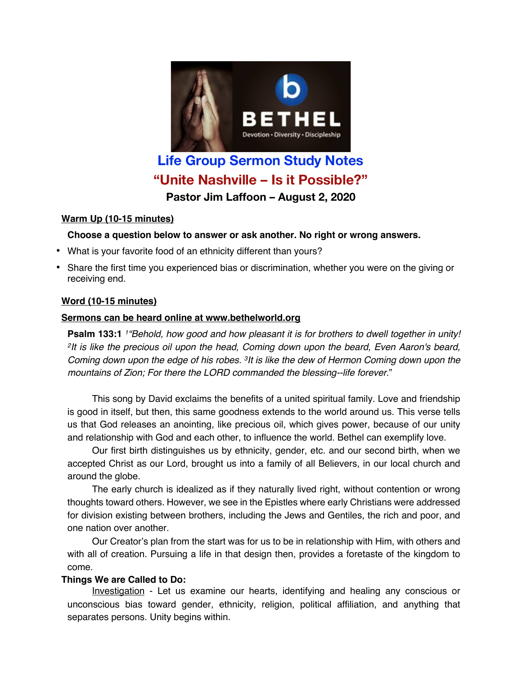

# **Life Group Sermon Study Notes "Unite Nashville – Is it Possible?" Pastor Jim Laffoon – August 2, 2020**

#### **Warm Up (10-15 minutes)**

### **Choose a question below to answer or ask another. No right or wrong answers.**

- What is your favorite food of an ethnicity different than yours?
- Share the first time you experienced bias or discrimination, whether you were on the giving or receiving end.

### **Word (10-15 minutes)**

#### **Sermons can be heard online at www.bethelworld.org**

**Psalm 133:1** *1"Behold, how good and how pleasant it is for brothers to dwell together in unity! 2It is like the precious oil upon the head, Coming down upon the beard, Even Aaron's beard, Coming down upon the edge of his robes. 3It is like the dew of Hermon Coming down upon the mountains of Zion; For there the LORD commanded the blessing--life forever*."

This song by David exclaims the benefits of a united spiritual family. Love and friendship is good in itself, but then, this same goodness extends to the world around us. This verse tells us that God releases an anointing, like precious oil, which gives power, because of our unity and relationship with God and each other, to influence the world. Bethel can exemplify love.

Our first birth distinguishes us by ethnicity, gender, etc. and our second birth, when we accepted Christ as our Lord, brought us into a family of all Believers, in our local church and around the globe.

The early church is idealized as if they naturally lived right, without contention or wrong thoughts toward others. However, we see in the Epistles where early Christians were addressed for division existing between brothers, including the Jews and Gentiles, the rich and poor, and one nation over another.

Our Creator's plan from the start was for us to be in relationship with Him, with others and with all of creation. Pursuing a life in that design then, provides a foretaste of the kingdom to come.

### **Things We are Called to Do:**

Investigation - Let us examine our hearts, identifying and healing any conscious or unconscious bias toward gender, ethnicity, religion, political affiliation, and anything that separates persons. Unity begins within.